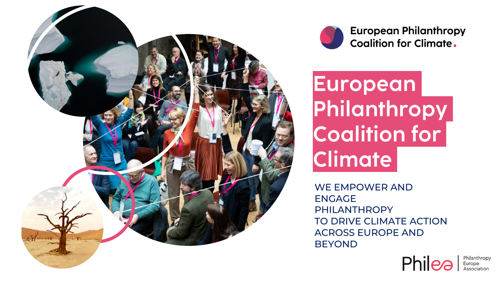



**European Philanthropy Coalition for Climate.** 

European Philanthropy **Coalition for** Climate

WE EMPOWER AND ENGAGE PHILANTHROPY TO DRIVE CLIMATE ACTION ACROSS EUROPE AND BEYOND



Philanthropy Europe<br>Association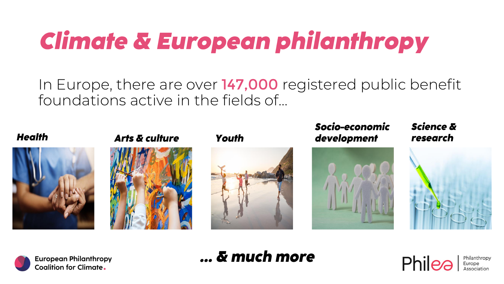# Climate & European philanthropy

In Europe, there are over 147,000 registered public benefit foundations active in the fields of...





**Arts & culture** 



### Youth



### Socio-economic development



### **Science &** research





## ... & much more

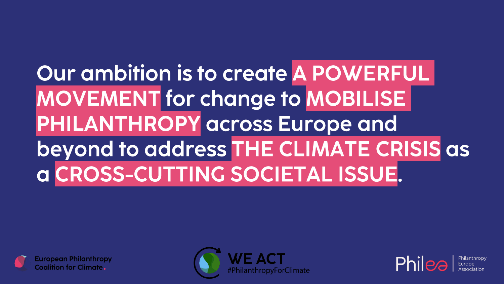## Our ambition is to create A POWERFUL **MOVEMENT** for change to **MOBILISE PHILANTHROPY** across Europe and beyond to address THE CLIMATE CRISIS as a CROSS-CUTTING SOCIETAL ISSUE.







Philanthrop Furope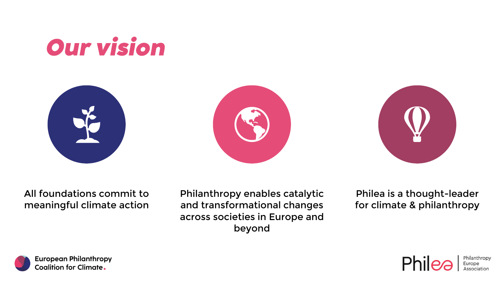







All foundations commit to meaningful climate action Philanthropy enables catalytic and transformational changes across societies in Europe and beyond

Philea is a thought-leader for climate & philanthropy



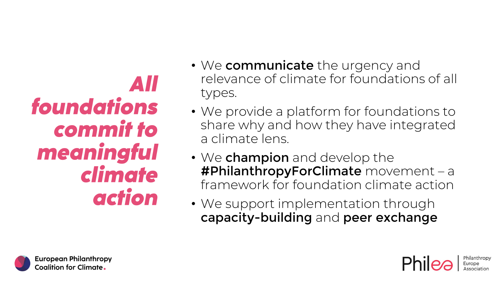AII foundations commit to meaningful climate action

- We communicate the urgency and relevance of climate for foundations of all types.
- We provide a platform for foundations to share why and how they have integrated a climate lens.
- We champion and develop the #PhilanthropyForClimate movement – a framework for foundation climate action
- We support implementation through capacity-building and peer exchange



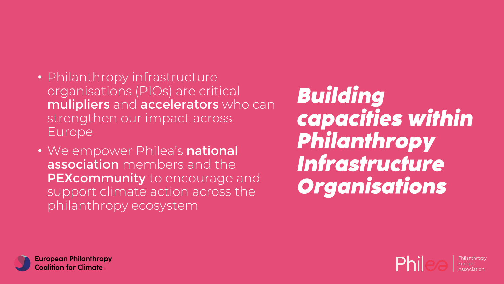- Philanthropy infrastructure organisations (PIOs) are critical mulipliers and accelerators who can strengthen our impact across Europe
- We empower Philea's national association members and the PEXcommunity to encourage and support climate action across the philanthropy ecosystem

**Building** capacities within Philanthropy Infrastructure **Organisations** 



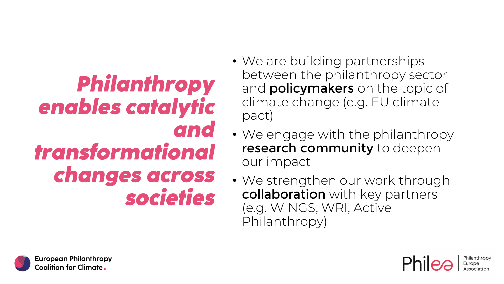**Philanthropy** enables catalytic and transformational changes across societies

- We are building partnerships between the philanthropy sector and **policymakers** on the topic of climate change (e.g. EU climate pact)
- We engage with the philanthropy research community to deepen our impact
- We strengthen our work through collaboration with key partners (e.g. WINGS, WRI, Active Philanthropy)



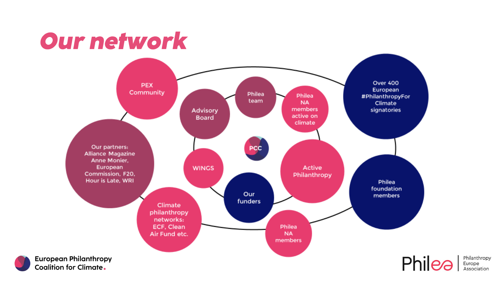## Our network



Philanthropy<br>Europe<br>Association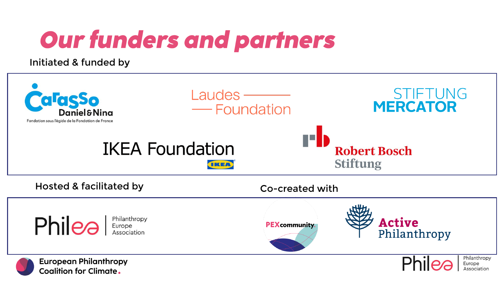# **Our funders and partners**

Initiated & funded by

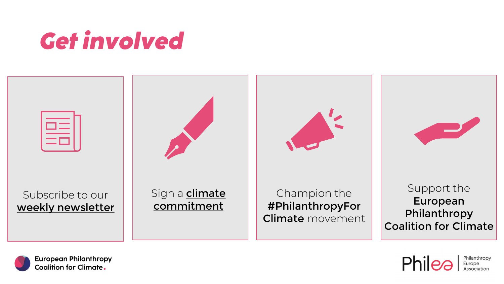